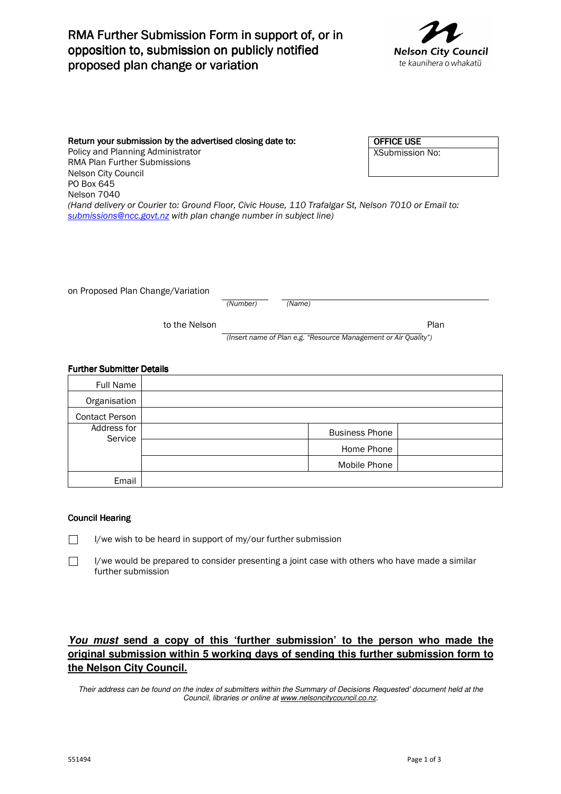# RMA Further Submission Form in support of, or in opposition to, submission on publicly notified proposed plan change or variation



Return your submission by the advertised closing date to: Policy and Planning Administrator RMA Plan Further Submissions Nelson City Council PO Box 645 Nelson 7040 *(Hand delivery or Courier to: Ground Floor, Civic House, 110 Trafalgar St, Nelson 7010 or Email to: submissions@ncc.govt.nz with plan change number in subject line)*  OFFICE USE XSubmission No:

on Proposed Plan Change/Variation

*(Number) (Name)*

to the Nelson **Plan** 

*(Insert name of Plan e.g. "Resource Management or Air Quality")*

#### **Further Submitter Details**

| <b>Full Name</b>       |                       |
|------------------------|-----------------------|
| Organisation           |                       |
| <b>Contact Person</b>  |                       |
| Address for<br>Service | <b>Business Phone</b> |
|                        | Home Phone            |
|                        | Mobile Phone          |
| Email                  |                       |

#### **Council Hearing**

 I/we wish to be heard in support of my/our further submission  $\Box$ 

 $\Box$  I/we would be prepared to consider presenting a joint case with others who have made a similar further submission

### **You must send a copy of this 'further submission' to the person who made the original submission within 5 working days of sending this further submission form to the Nelson City Council.**

Their address can be found on the index of submitters within the Summary of Decisions Requested' document held at the Council, libraries or online at www.nelsoncitycouncil.co.nz.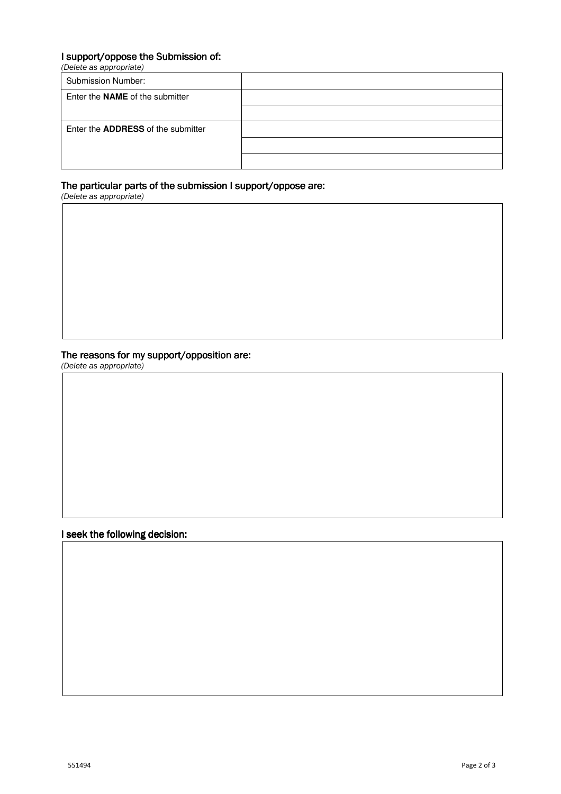### I support/oppose the Submission of:

*(Delete as appropriate)* 

| <b>Submission Number:</b>                 |  |
|-------------------------------------------|--|
| Enter the <b>NAME</b> of the submitter    |  |
|                                           |  |
| Enter the <b>ADDRESS</b> of the submitter |  |
|                                           |  |
|                                           |  |

#### The particular parts of the submission I support/oppose are:

*(Delete as appropriate)* 

### The reasons for my support/opposition are:

*(Delete as appropriate)* 

I seek the following decision: